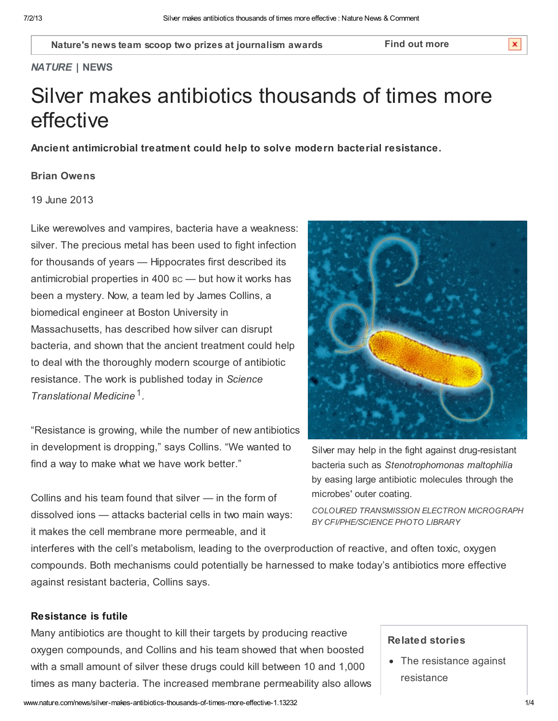Nature's news team scoop two prizes at [journalism](http://www.absw.org.uk/news-and-events/news/winners-announced-for-2013-journalism-awards.html) awards Find out [more](javascript:;)

 $\mathbf x$ 

#### NATURE | NEWS

# Silver makes antibiotics thousands of times more effective

Ancient antimicrobial treatment could help to solve modern bacterial resistance.

#### Brian [Owens](http://www.nature.com/news/silver-makes-antibiotics-thousands-of-times-more-effective-1.13232#auth-1)

19 June 2013

Like werewolves and vampires, bacteria have a weakness: silver. The precious metal has been used to fight infection for thousands of years — Hippocrates first described its antimicrobial properties in 400 BC — but how it works has been a mystery. Now, a team led by James Collins, a biomedical engineer at Boston University in Massachusetts, has described how silver can disrupt bacteria, and shown that the ancient treatment could help to deal with the thoroughly modern scourge of antibiotic resistance. The work is published today in Science Translational Medicine [1](http://www.nature.com/news/silver-makes-antibiotics-thousands-of-times-more-effective-1.13232#b1).

"Resistance is growing, while the number of new antibiotics in development is dropping," says Collins. "We wanted to find a way to make what we have work better."

Collins and his team found that silver — in the form of dissolved ions — attacks bacterial cells in two main ways: it makes the cell membrane more permeable, and it



Silver may help in the fight against drug-resistant bacteria such as Stenotrophomonas maltophilia by easing large antibiotic molecules through the microbes' outer coating.

COLOURED TRANSMISSION ELECTRON MICROGRAPH BY CFI/PHE/SCIENCE PHOTO LIBRARY

interferes with the cell's metabolism, leading to the overproduction of reactive, and often toxic, oxygen compounds. Both mechanisms could potentially be harnessed to make today's antibiotics more effective against resistant bacteria, Collins says.

## Resistance is futile

Many antibiotics are thought to kill their targets by producing reactive oxygen compounds, and Collins and his team showed that when boosted with a small amount of silver these drugs could kill between 10 and 1,000 times as many bacteria. The increased membrane permeability also allows

#### Related stories

• The [resistance](http://www.nature.com/doifinder/10.1038/nature.2013.13086) against resistance